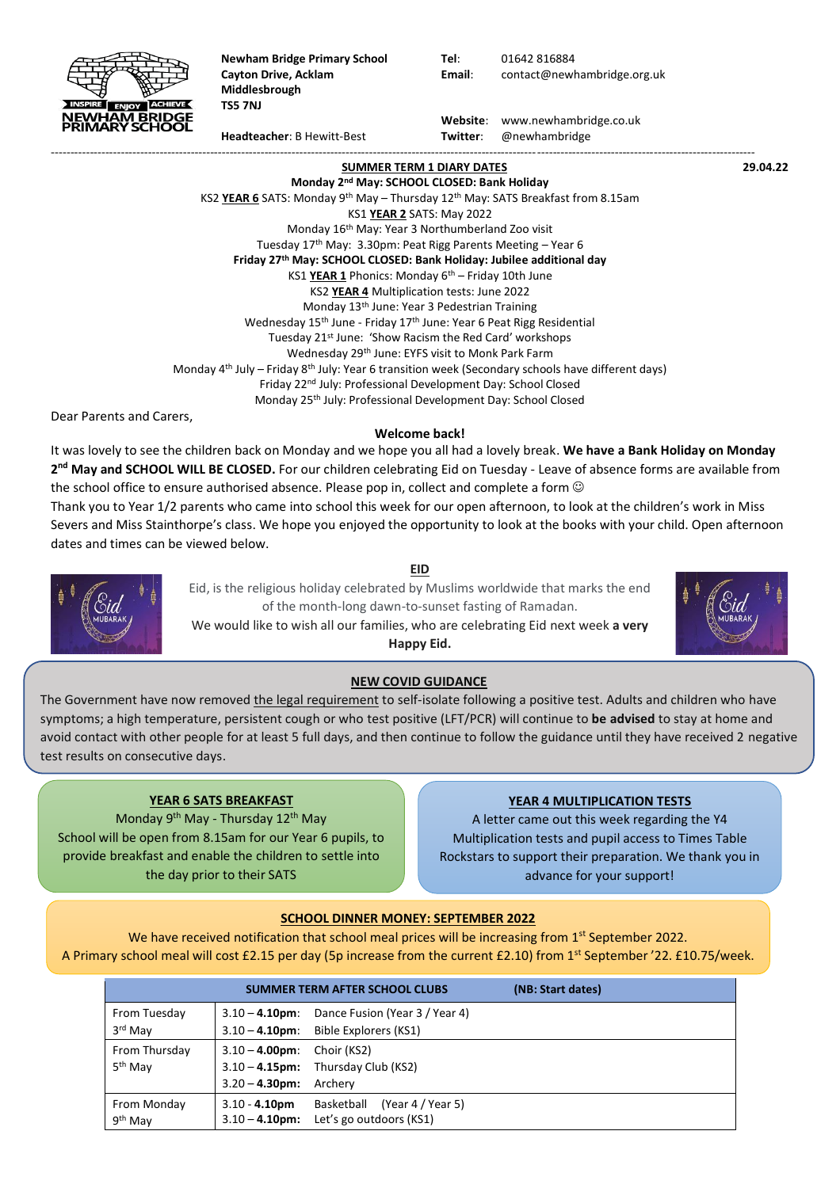

**Newham Bridge Primary School Tel**: 01642 816884 **Middlesbrough TS5 7NJ**

**Cayton Drive, Acklam Email**: contact@newhambridge.org.uk

 **Website**: www.newhambridge.co.uk **Headteacher**: B Hewitt-Best **Twitter**: @newhambridge

# -------------------------------------------------------------------------------------------------------------------------------------------------------------------------------------

 **SUMMER TERM 1 DIARY DATES 29.04.22 Monday 2nd May: SCHOOL CLOSED: Bank Holiday** KS2 YEAR 6 SATS: Monday 9<sup>th</sup> May - Thursday 12<sup>th</sup> May: SATS Breakfast from 8.15am KS1 **YEAR 2** SATS: May 2022 Monday 16th May: Year 3 Northumberland Zoo visit Tuesday 17th May: 3.30pm: Peat Rigg Parents Meeting – Year 6 **Friday 27th May: SCHOOL CLOSED: Bank Holiday: Jubilee additional day** KS1 **YEAR 1** Phonics: Monday 6th – Friday 10th June KS2 **YEAR 4** Multiplication tests: June 2022 Monday 13th June: Year 3 Pedestrian Training Wednesday 15<sup>th</sup> June - Friday 17<sup>th</sup> June: Year 6 Peat Rigg Residential Tuesday 21st June: 'Show Racism the Red Card' workshops Wednesday 29th June: EYFS visit to Monk Park Farm Monday 4th July – Friday 8th July: Year 6 transition week (Secondary schools have different days) Friday 22nd July: Professional Development Day: School Closed Monday 25<sup>th</sup> July: Professional Development Day: School Closed

Dear Parents and Carers,

### **Welcome back!**

It was lovely to see the children back on Monday and we hope you all had a lovely break. **We have a Bank Holiday on Monday**  2<sup>nd</sup> May and SCHOOL WILL BE CLOSED. For our children celebrating Eid on Tuesday - Leave of absence forms are available from the school office to ensure authorised absence. Please pop in, collect and complete a form  $\odot$ 

Thank you to Year 1/2 parents who came into school this week for our open afternoon, to look at the children's work in Miss Severs and Miss Stainthorpe's class. We hope you enjoyed the opportunity to look at the books with your child. Open afternoon dates and times can be viewed below.

## **EID**



Eid, is the religious holiday celebrated by Muslims worldwide that marks the end of the month-long dawn-to-sunset fasting of Ramadan.

We would like to wish all our families, who are celebrating Eid next week **a very Happy Eid.**



#### **NEW COVID GUIDANCE**

The Government have now removed the legal requirement to self-isolate following a positive test. Adults and children who have symptoms; a high temperature, persistent cough or who test positive (LFT/PCR) will continue to **be advised** to stay at home and avoid contact with other people for at least 5 full days, and then continue to follow the guidance until they have received 2 negative test results on consecutive days.

#### **YEAR 6 SATS BREAKFAST**

İ

Monday  $9^{th}$  May - Thursday  $12^{th}$  May School will be open from 8.15am for our Year 6 pupils, to provide breakfast and enable the children to settle into the day prior to their SATS

#### **YEAR 4 MULTIPLICATION TESTS**

A letter came out this week regarding the Y4 Multiplication tests and pupil access to Times Table Rockstars to support their preparation. We thank you in advance for your support!

#### **SCHOOL DINNER MONEY: SEPTEMBER 2022**

We have received notification that school meal prices will be increasing from 1<sup>st</sup> September 2022. A Primary school meal will cost £2.15 per day (5p increase from the current £2.10) from 1<sup>st</sup> September '22. £10.75/week.

|                                      |                                        | <b>SUMMER TERM AFTER SCHOOL CLUBS</b>                           | (NB: Start dates) |
|--------------------------------------|----------------------------------------|-----------------------------------------------------------------|-------------------|
| From Tuesday<br>3 <sup>rd</sup> May  | $3.10 - 4.10$ pm:<br>$3.10 - 4.10$ pm: | Dance Fusion (Year 3 / Year 4)<br>Bible Explorers (KS1)         |                   |
| From Thursday<br>5 <sup>th</sup> Mav | $3.10 - 4.00$ pm:<br>$3.20 - 4.30$ pm: | Choir (KS2)<br>$3.10 - 4.15$ pm: Thursday Club (KS2)<br>Archery |                   |
| From Monday<br>9 <sup>th</sup> May   | $3.10 - 4.10$ pm<br>$3.10 - 4.10$ pm:  | (Year 4 / Year 5)<br>Basketball<br>Let's go outdoors (KS1)      |                   |